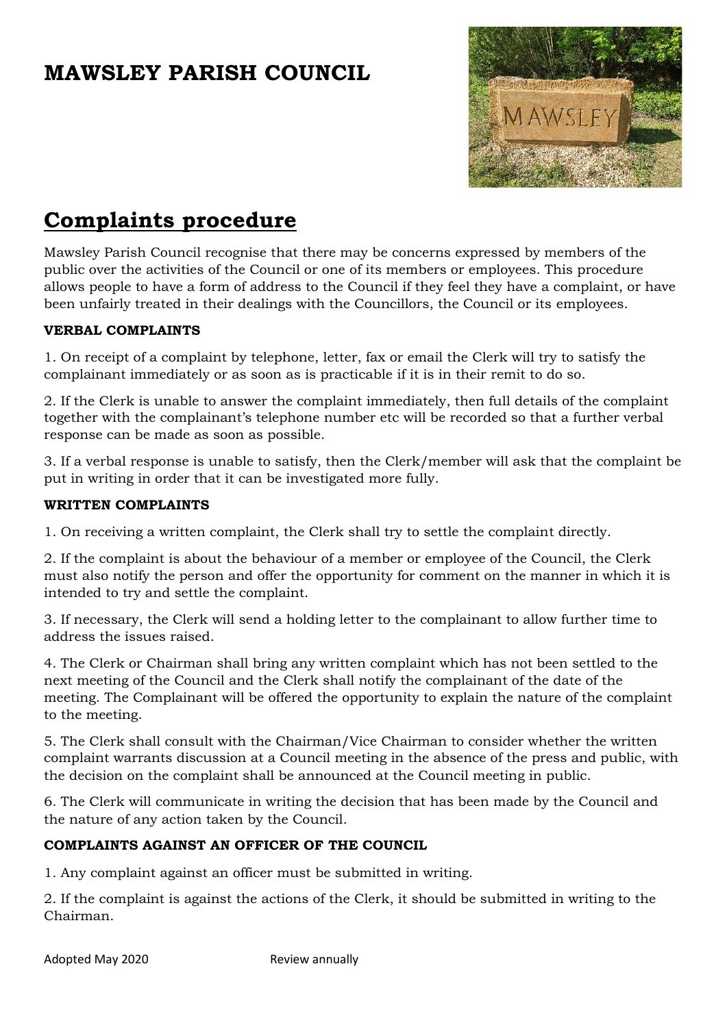# **MAWSLEY PARISH COUNCIL**



## **Complaints procedure**

Mawsley Parish Council recognise that there may be concerns expressed by members of the public over the activities of the Council or one of its members or employees. This procedure allows people to have a form of address to the Council if they feel they have a complaint, or have been unfairly treated in their dealings with the Councillors, the Council or its employees.

#### **VERBAL COMPLAINTS**

1. On receipt of a complaint by telephone, letter, fax or email the Clerk will try to satisfy the complainant immediately or as soon as is practicable if it is in their remit to do so.

2. If the Clerk is unable to answer the complaint immediately, then full details of the complaint together with the complainant's telephone number etc will be recorded so that a further verbal response can be made as soon as possible.

3. If a verbal response is unable to satisfy, then the Clerk/member will ask that the complaint be put in writing in order that it can be investigated more fully.

#### **WRITTEN COMPLAINTS**

1. On receiving a written complaint, the Clerk shall try to settle the complaint directly.

2. If the complaint is about the behaviour of a member or employee of the Council, the Clerk must also notify the person and offer the opportunity for comment on the manner in which it is intended to try and settle the complaint.

3. If necessary, the Clerk will send a holding letter to the complainant to allow further time to address the issues raised.

4. The Clerk or Chairman shall bring any written complaint which has not been settled to the next meeting of the Council and the Clerk shall notify the complainant of the date of the meeting. The Complainant will be offered the opportunity to explain the nature of the complaint to the meeting.

5. The Clerk shall consult with the Chairman/Vice Chairman to consider whether the written complaint warrants discussion at a Council meeting in the absence of the press and public, with the decision on the complaint shall be announced at the Council meeting in public.

6. The Clerk will communicate in writing the decision that has been made by the Council and the nature of any action taken by the Council.

### **COMPLAINTS AGAINST AN OFFICER OF THE COUNCIL**

1. Any complaint against an officer must be submitted in writing.

2. If the complaint is against the actions of the Clerk, it should be submitted in writing to the Chairman.